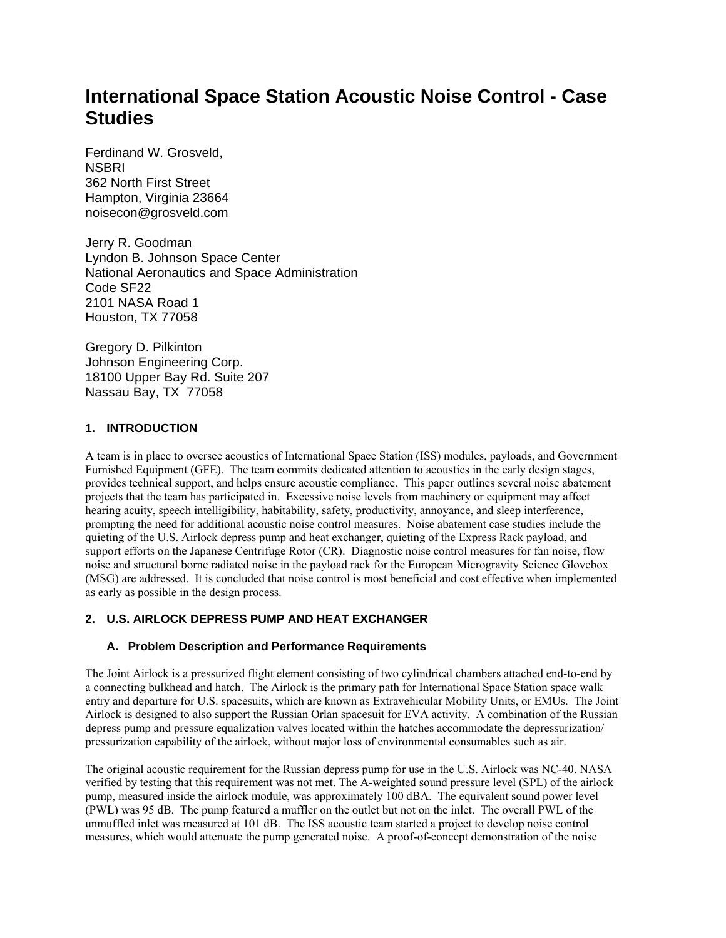# **International Space Station Acoustic Noise Control - Case Studies**

Ferdinand W. Grosveld, **NSBRI** 362 North First Street Hampton, Virginia 23664 noisecon@grosveld.com

Jerry R. Goodman Lyndon B. Johnson Space Center National Aeronautics and Space Administration Code SF22 2101 NASA Road 1 Houston, TX 77058

Gregory D. Pilkinton Johnson Engineering Corp. 18100 Upper Bay Rd. Suite 207 Nassau Bay, TX 77058

#### **1. INTRODUCTION**

A team is in place to oversee acoustics of International Space Station (ISS) modules, payloads, and Government Furnished Equipment (GFE). The team commits dedicated attention to acoustics in the early design stages, provides technical support, and helps ensure acoustic compliance. This paper outlines several noise abatement projects that the team has participated in. Excessive noise levels from machinery or equipment may affect hearing acuity, speech intelligibility, habitability, safety, productivity, annoyance, and sleep interference, prompting the need for additional acoustic noise control measures. Noise abatement case studies include the quieting of the U.S. Airlock depress pump and heat exchanger, quieting of the Express Rack payload, and support efforts on the Japanese Centrifuge Rotor (CR). Diagnostic noise control measures for fan noise, flow noise and structural borne radiated noise in the payload rack for the European Microgravity Science Glovebox (MSG) are addressed. It is concluded that noise control is most beneficial and cost effective when implemented as early as possible in the design process.

## **2. U.S. AIRLOCK DEPRESS PUMP AND HEAT EXCHANGER**

## **A. Problem Description and Performance Requirements**

The Joint Airlock is a pressurized flight element consisting of two cylindrical chambers attached end-to-end by a connecting bulkhead and hatch. The Airlock is the primary path for International Space Station space walk entry and departure for U.S. spacesuits, which are known as Extravehicular Mobility Units, or EMUs. The Joint Airlock is designed to also support the Russian Orlan spacesuit for EVA activity. A combination of the Russian depress pump and pressure equalization valves located within the hatches accommodate the depressurization/ pressurization capability of the airlock, without major loss of environmental consumables such as air.

The original acoustic requirement for the Russian depress pump for use in the U.S. Airlock was NC-40. NASA verified by testing that this requirement was not met. The A-weighted sound pressure level (SPL) of the airlock pump, measured inside the airlock module, was approximately 100 dBA. The equivalent sound power level (PWL) was 95 dB. The pump featured a muffler on the outlet but not on the inlet. The overall PWL of the unmuffled inlet was measured at 101 dB. The ISS acoustic team started a project to develop noise control measures, which would attenuate the pump generated noise. A proof-of-concept demonstration of the noise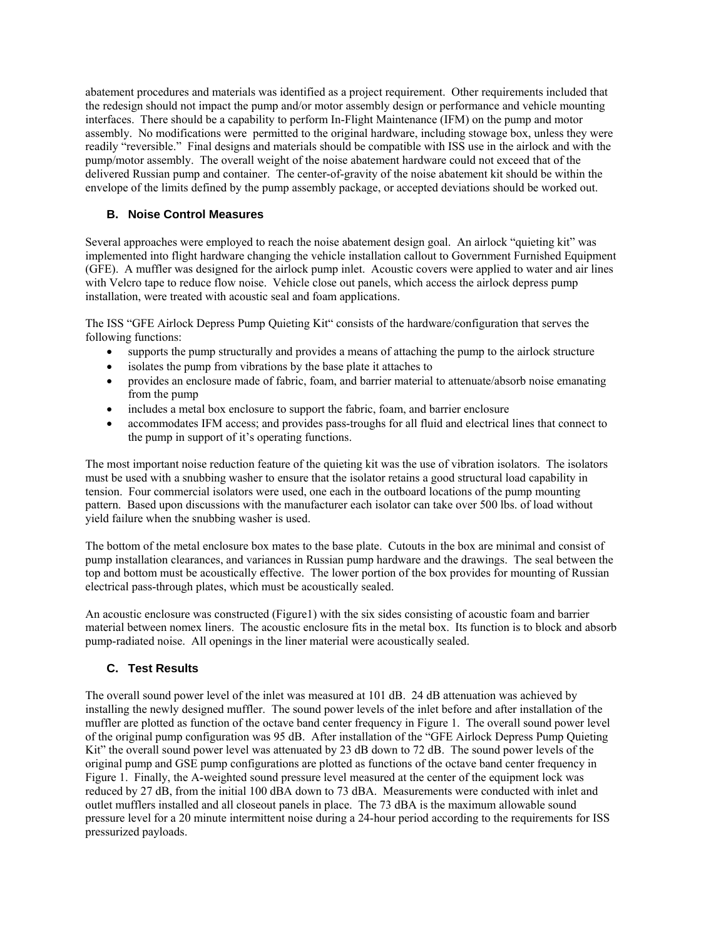abatement procedures and materials was identified as a project requirement. Other requirements included that the redesign should not impact the pump and/or motor assembly design or performance and vehicle mounting interfaces. There should be a capability to perform In-Flight Maintenance (IFM) on the pump and motor assembly. No modifications were permitted to the original hardware, including stowage box, unless they were readily "reversible." Final designs and materials should be compatible with ISS use in the airlock and with the pump/motor assembly. The overall weight of the noise abatement hardware could not exceed that of the delivered Russian pump and container. The center-of-gravity of the noise abatement kit should be within the envelope of the limits defined by the pump assembly package, or accepted deviations should be worked out.

## **B. Noise Control Measures**

Several approaches were employed to reach the noise abatement design goal. An airlock "quieting kit" was implemented into flight hardware changing the vehicle installation callout to Government Furnished Equipment (GFE). A muffler was designed for the airlock pump inlet. Acoustic covers were applied to water and air lines with Velcro tape to reduce flow noise. Vehicle close out panels, which access the airlock depress pump installation, were treated with acoustic seal and foam applications.

The ISS "GFE Airlock Depress Pump Quieting Kit" consists of the hardware/configuration that serves the following functions:

- supports the pump structurally and provides a means of attaching the pump to the airlock structure
- isolates the pump from vibrations by the base plate it attaches to
- provides an enclosure made of fabric, foam, and barrier material to attenuate/absorb noise emanating from the pump
- includes a metal box enclosure to support the fabric, foam, and barrier enclosure
- accommodates IFM access; and provides pass-troughs for all fluid and electrical lines that connect to the pump in support of it's operating functions.

The most important noise reduction feature of the quieting kit was the use of vibration isolators. The isolators must be used with a snubbing washer to ensure that the isolator retains a good structural load capability in tension. Four commercial isolators were used, one each in the outboard locations of the pump mounting pattern. Based upon discussions with the manufacturer each isolator can take over 500 lbs. of load without yield failure when the snubbing washer is used.

The bottom of the metal enclosure box mates to the base plate. Cutouts in the box are minimal and consist of pump installation clearances, and variances in Russian pump hardware and the drawings. The seal between the top and bottom must be acoustically effective. The lower portion of the box provides for mounting of Russian electrical pass-through plates, which must be acoustically sealed.

An acoustic enclosure was constructed (Figure1) with the six sides consisting of acoustic foam and barrier material between nomex liners. The acoustic enclosure fits in the metal box. Its function is to block and absorb pump-radiated noise. All openings in the liner material were acoustically sealed.

## **C. Test Results**

The overall sound power level of the inlet was measured at 101 dB. 24 dB attenuation was achieved by installing the newly designed muffler. The sound power levels of the inlet before and after installation of the muffler are plotted as function of the octave band center frequency in Figure 1. The overall sound power level of the original pump configuration was 95 dB. After installation of the "GFE Airlock Depress Pump Quieting Kit" the overall sound power level was attenuated by 23 dB down to 72 dB. The sound power levels of the original pump and GSE pump configurations are plotted as functions of the octave band center frequency in Figure 1. Finally, the A-weighted sound pressure level measured at the center of the equipment lock was reduced by 27 dB, from the initial 100 dBA down to 73 dBA. Measurements were conducted with inlet and outlet mufflers installed and all closeout panels in place. The 73 dBA is the maximum allowable sound pressure level for a 20 minute intermittent noise during a 24-hour period according to the requirements for ISS pressurized payloads.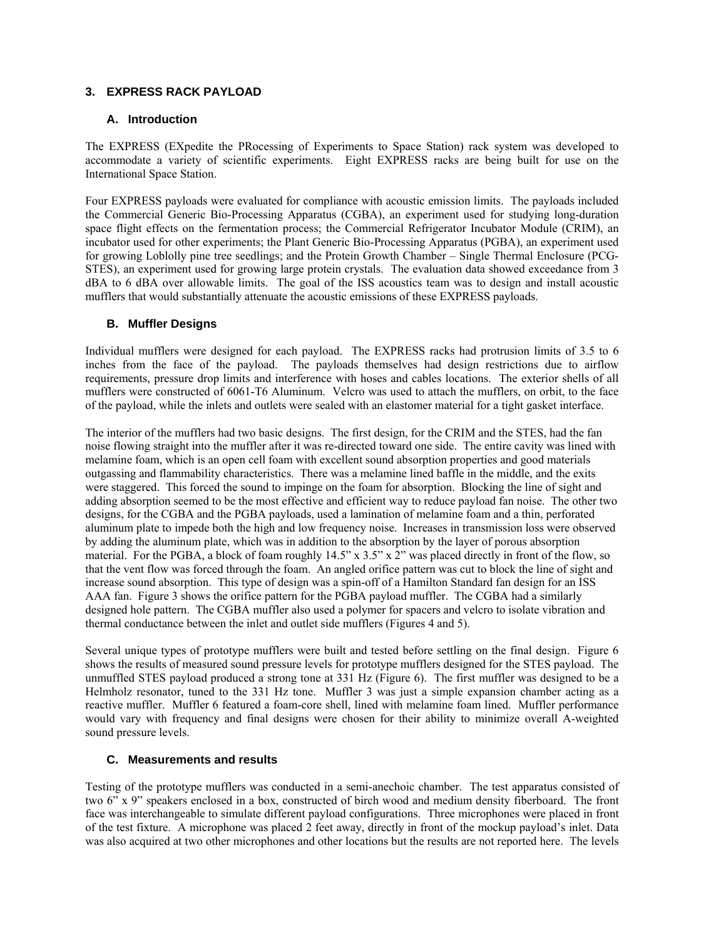## **3. EXPRESS RACK PAYLOAD**

#### **A. Introduction**

The EXPRESS (EXpedite the PRocessing of Experiments to Space Station) rack system was developed to accommodate a variety of scientific experiments. Eight EXPRESS racks are being built for use on the International Space Station.

Four EXPRESS payloads were evaluated for compliance with acoustic emission limits. The payloads included the Commercial Generic Bio-Processing Apparatus (CGBA), an experiment used for studying long-duration space flight effects on the fermentation process; the Commercial Refrigerator Incubator Module (CRIM), an incubator used for other experiments; the Plant Generic Bio-Processing Apparatus (PGBA), an experiment used for growing Loblolly pine tree seedlings; and the Protein Growth Chamber – Single Thermal Enclosure (PCG-STES), an experiment used for growing large protein crystals. The evaluation data showed exceedance from 3 dBA to 6 dBA over allowable limits. The goal of the ISS acoustics team was to design and install acoustic mufflers that would substantially attenuate the acoustic emissions of these EXPRESS payloads.

#### **B. Muffler Designs**

Individual mufflers were designed for each payload. The EXPRESS racks had protrusion limits of 3.5 to 6 inches from the face of the payload. The payloads themselves had design restrictions due to airflow requirements, pressure drop limits and interference with hoses and cables locations. The exterior shells of all mufflers were constructed of 6061-T6 Aluminum. Velcro was used to attach the mufflers, on orbit, to the face of the payload, while the inlets and outlets were sealed with an elastomer material for a tight gasket interface.

The interior of the mufflers had two basic designs. The first design, for the CRIM and the STES, had the fan noise flowing straight into the muffler after it was re-directed toward one side. The entire cavity was lined with melamine foam, which is an open cell foam with excellent sound absorption properties and good materials outgassing and flammability characteristics. There was a melamine lined baffle in the middle, and the exits were staggered. This forced the sound to impinge on the foam for absorption. Blocking the line of sight and adding absorption seemed to be the most effective and efficient way to reduce payload fan noise. The other two designs, for the CGBA and the PGBA payloads, used a lamination of melamine foam and a thin, perforated aluminum plate to impede both the high and low frequency noise. Increases in transmission loss were observed by adding the aluminum plate, which was in addition to the absorption by the layer of porous absorption material. For the PGBA, a block of foam roughly 14.5" x 3.5" x 2" was placed directly in front of the flow, so that the vent flow was forced through the foam. An angled orifice pattern was cut to block the line of sight and increase sound absorption. This type of design was a spin-off of a Hamilton Standard fan design for an ISS AAA fan. Figure 3 shows the orifice pattern for the PGBA payload muffler. The CGBA had a similarly designed hole pattern. The CGBA muffler also used a polymer for spacers and velcro to isolate vibration and thermal conductance between the inlet and outlet side mufflers (Figures 4 and 5).

Several unique types of prototype mufflers were built and tested before settling on the final design. Figure 6 shows the results of measured sound pressure levels for prototype mufflers designed for the STES payload. The unmuffled STES payload produced a strong tone at 331 Hz (Figure 6). The first muffler was designed to be a Helmholz resonator, tuned to the 331 Hz tone. Muffler 3 was just a simple expansion chamber acting as a reactive muffler. Muffler 6 featured a foam-core shell, lined with melamine foam lined. Muffler performance would vary with frequency and final designs were chosen for their ability to minimize overall A-weighted sound pressure levels.

## **C. Measurements and results**

Testing of the prototype mufflers was conducted in a semi-anechoic chamber. The test apparatus consisted of two 6" x 9" speakers enclosed in a box, constructed of birch wood and medium density fiberboard. The front face was interchangeable to simulate different payload configurations. Three microphones were placed in front of the test fixture. A microphone was placed 2 feet away, directly in front of the mockup payload's inlet. Data was also acquired at two other microphones and other locations but the results are not reported here. The levels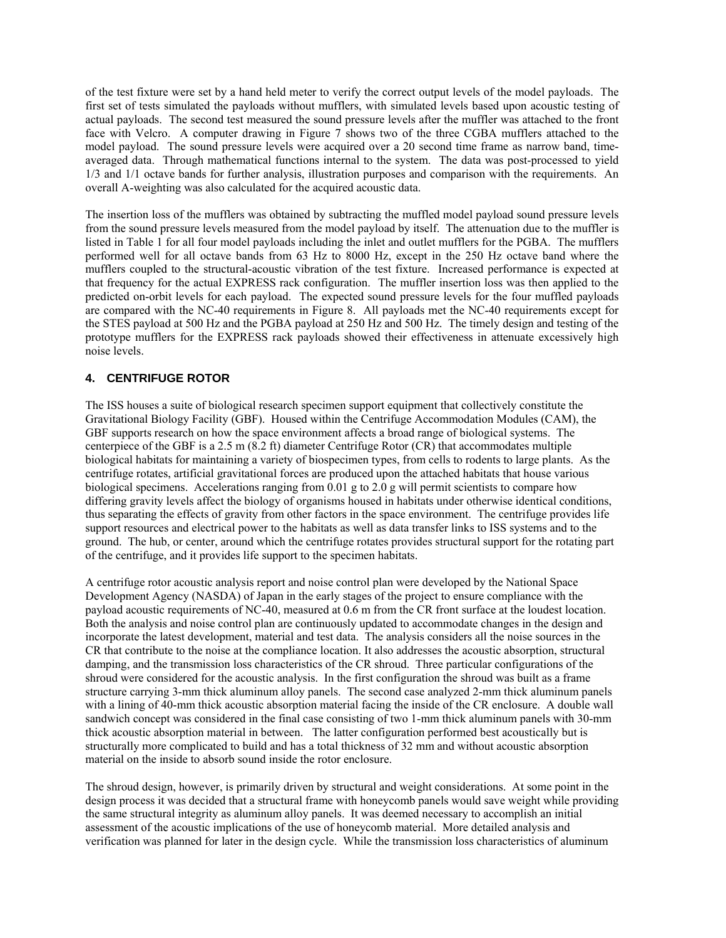of the test fixture were set by a hand held meter to verify the correct output levels of the model payloads. The first set of tests simulated the payloads without mufflers, with simulated levels based upon acoustic testing of actual payloads. The second test measured the sound pressure levels after the muffler was attached to the front face with Velcro. A computer drawing in Figure 7 shows two of the three CGBA mufflers attached to the model payload. The sound pressure levels were acquired over a 20 second time frame as narrow band, timeaveraged data. Through mathematical functions internal to the system. The data was post-processed to yield 1/3 and 1/1 octave bands for further analysis, illustration purposes and comparison with the requirements. An overall A-weighting was also calculated for the acquired acoustic data.

The insertion loss of the mufflers was obtained by subtracting the muffled model payload sound pressure levels from the sound pressure levels measured from the model payload by itself. The attenuation due to the muffler is listed in Table 1 for all four model payloads including the inlet and outlet mufflers for the PGBA. The mufflers performed well for all octave bands from 63 Hz to 8000 Hz, except in the 250 Hz octave band where the mufflers coupled to the structural-acoustic vibration of the test fixture. Increased performance is expected at that frequency for the actual EXPRESS rack configuration. The muffler insertion loss was then applied to the predicted on-orbit levels for each payload. The expected sound pressure levels for the four muffled payloads are compared with the NC-40 requirements in Figure 8. All payloads met the NC-40 requirements except for the STES payload at 500 Hz and the PGBA payload at 250 Hz and 500 Hz. The timely design and testing of the prototype mufflers for the EXPRESS rack payloads showed their effectiveness in attenuate excessively high noise levels.

## **4. CENTRIFUGE ROTOR**

The ISS houses a suite of biological research specimen support equipment that collectively constitute the Gravitational Biology Facility (GBF). Housed within the Centrifuge Accommodation Modules (CAM), the GBF supports research on how the space environment affects a broad range of biological systems. The centerpiece of the GBF is a 2.5 m (8.2 ft) diameter Centrifuge Rotor (CR) that accommodates multiple biological habitats for maintaining a variety of biospecimen types, from cells to rodents to large plants. As the centrifuge rotates, artificial gravitational forces are produced upon the attached habitats that house various biological specimens. Accelerations ranging from 0.01 g to 2.0 g will permit scientists to compare how differing gravity levels affect the biology of organisms housed in habitats under otherwise identical conditions, thus separating the effects of gravity from other factors in the space environment. The centrifuge provides life support resources and electrical power to the habitats as well as data transfer links to ISS systems and to the ground. The hub, or center, around which the centrifuge rotates provides structural support for the rotating part of the centrifuge, and it provides life support to the specimen habitats.

A centrifuge rotor acoustic analysis report and noise control plan were developed by the National Space Development Agency (NASDA) of Japan in the early stages of the project to ensure compliance with the payload acoustic requirements of NC-40, measured at 0.6 m from the CR front surface at the loudest location. Both the analysis and noise control plan are continuously updated to accommodate changes in the design and incorporate the latest development, material and test data. The analysis considers all the noise sources in the CR that contribute to the noise at the compliance location. It also addresses the acoustic absorption, structural damping, and the transmission loss characteristics of the CR shroud. Three particular configurations of the shroud were considered for the acoustic analysis. In the first configuration the shroud was built as a frame structure carrying 3-mm thick aluminum alloy panels. The second case analyzed 2-mm thick aluminum panels with a lining of 40-mm thick acoustic absorption material facing the inside of the CR enclosure. A double wall sandwich concept was considered in the final case consisting of two 1-mm thick aluminum panels with 30-mm thick acoustic absorption material in between. The latter configuration performed best acoustically but is structurally more complicated to build and has a total thickness of 32 mm and without acoustic absorption material on the inside to absorb sound inside the rotor enclosure.

The shroud design, however, is primarily driven by structural and weight considerations. At some point in the design process it was decided that a structural frame with honeycomb panels would save weight while providing the same structural integrity as aluminum alloy panels. It was deemed necessary to accomplish an initial assessment of the acoustic implications of the use of honeycomb material. More detailed analysis and verification was planned for later in the design cycle. While the transmission loss characteristics of aluminum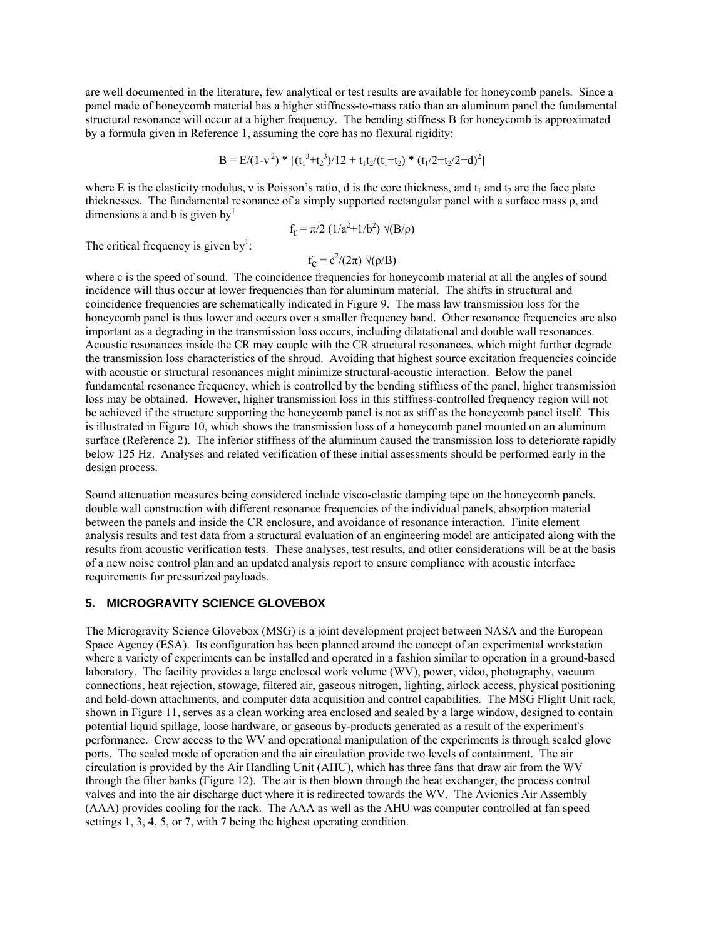are well documented in the literature, few analytical or test results are available for honeycomb panels. Since a panel made of honeycomb material has a higher stiffness-to-mass ratio than an aluminum panel the fundamental structural resonance will occur at a higher frequency. The bending stiffness B for honeycomb is approximated by a formula given in Reference 1, assuming the core has no flexural rigidity:

$$
B = E/(1-v^2) * [(t_1^3+t_2^3)/12 + t_1t_2/(t_1+t_2) * (t_1/2+t_2/2+d)^2]
$$

where E is the elasticity modulus, v is Poisson's ratio, d is the core thickness, and  $t_1$  and  $t_2$  are the face plate thicknesses. The fundamental resonance of a simply supported rectangular panel with a surface mass ρ, and dimensions a and b is given by $<sup>1</sup>$ </sup>

$$
f_{\rm r} = \pi/2 (1/a^2 + 1/b^2) \sqrt{(B/\rho)}
$$

The critical frequency is given by<sup>1</sup>:

$$
f_{\mathbf{C}} = c^2/(2\pi) \sqrt{\rho/B}
$$

where c is the speed of sound. The coincidence frequencies for honeycomb material at all the angles of sound incidence will thus occur at lower frequencies than for aluminum material. The shifts in structural and coincidence frequencies are schematically indicated in Figure 9. The mass law transmission loss for the honeycomb panel is thus lower and occurs over a smaller frequency band. Other resonance frequencies are also important as a degrading in the transmission loss occurs, including dilatational and double wall resonances. Acoustic resonances inside the CR may couple with the CR structural resonances, which might further degrade the transmission loss characteristics of the shroud. Avoiding that highest source excitation frequencies coincide with acoustic or structural resonances might minimize structural-acoustic interaction. Below the panel fundamental resonance frequency, which is controlled by the bending stiffness of the panel, higher transmission loss may be obtained. However, higher transmission loss in this stiffness-controlled frequency region will not be achieved if the structure supporting the honeycomb panel is not as stiff as the honeycomb panel itself. This is illustrated in Figure 10, which shows the transmission loss of a honeycomb panel mounted on an aluminum surface (Reference 2). The inferior stiffness of the aluminum caused the transmission loss to deteriorate rapidly below 125 Hz. Analyses and related verification of these initial assessments should be performed early in the design process.

Sound attenuation measures being considered include visco-elastic damping tape on the honeycomb panels, double wall construction with different resonance frequencies of the individual panels, absorption material between the panels and inside the CR enclosure, and avoidance of resonance interaction. Finite element analysis results and test data from a structural evaluation of an engineering model are anticipated along with the results from acoustic verification tests. These analyses, test results, and other considerations will be at the basis of a new noise control plan and an updated analysis report to ensure compliance with acoustic interface requirements for pressurized payloads.

#### **5. MICROGRAVITY SCIENCE GLOVEBOX**

The Microgravity Science Glovebox (MSG) is a joint development project between NASA and the European Space Agency (ESA). Its configuration has been planned around the concept of an experimental workstation where a variety of experiments can be installed and operated in a fashion similar to operation in a ground-based laboratory. The facility provides a large enclosed work volume (WV), power, video, photography, vacuum connections, heat rejection, stowage, filtered air, gaseous nitrogen, lighting, airlock access, physical positioning and hold-down attachments, and computer data acquisition and control capabilities. The MSG Flight Unit rack, shown in Figure 11, serves as a clean working area enclosed and sealed by a large window, designed to contain potential liquid spillage, loose hardware, or gaseous by-products generated as a result of the experiment's performance. Crew access to the WV and operational manipulation of the experiments is through sealed glove ports. The sealed mode of operation and the air circulation provide two levels of containment. The air circulation is provided by the Air Handling Unit (AHU), which has three fans that draw air from the WV through the filter banks (Figure 12). The air is then blown through the heat exchanger, the process control valves and into the air discharge duct where it is redirected towards the WV. The Avionics Air Assembly (AAA) provides cooling for the rack. The AAA as well as the AHU was computer controlled at fan speed settings 1, 3, 4, 5, or 7, with 7 being the highest operating condition.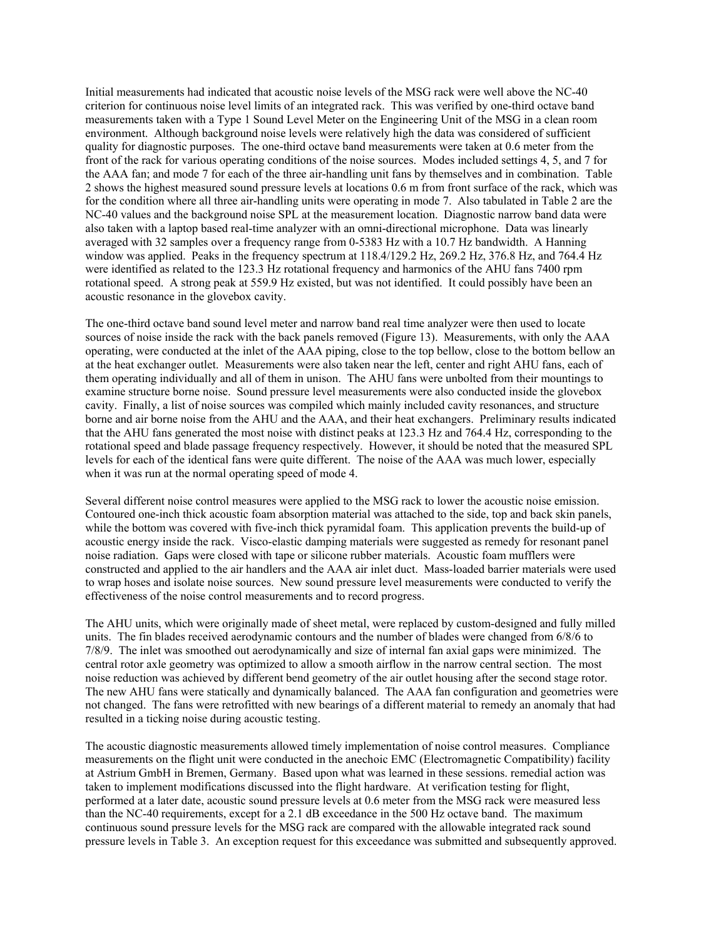Initial measurements had indicated that acoustic noise levels of the MSG rack were well above the NC-40 criterion for continuous noise level limits of an integrated rack. This was verified by one-third octave band measurements taken with a Type 1 Sound Level Meter on the Engineering Unit of the MSG in a clean room environment. Although background noise levels were relatively high the data was considered of sufficient quality for diagnostic purposes. The one-third octave band measurements were taken at 0.6 meter from the front of the rack for various operating conditions of the noise sources. Modes included settings 4, 5, and 7 for the AAA fan; and mode 7 for each of the three air-handling unit fans by themselves and in combination. Table 2 shows the highest measured sound pressure levels at locations 0.6 m from front surface of the rack, which was for the condition where all three air-handling units were operating in mode 7. Also tabulated in Table 2 are the NC-40 values and the background noise SPL at the measurement location. Diagnostic narrow band data were also taken with a laptop based real-time analyzer with an omni-directional microphone. Data was linearly averaged with 32 samples over a frequency range from 0-5383 Hz with a 10.7 Hz bandwidth. A Hanning window was applied. Peaks in the frequency spectrum at 118.4/129.2 Hz, 269.2 Hz, 376.8 Hz, and 764.4 Hz were identified as related to the 123.3 Hz rotational frequency and harmonics of the AHU fans 7400 rpm rotational speed. A strong peak at 559.9 Hz existed, but was not identified. It could possibly have been an acoustic resonance in the glovebox cavity.

The one-third octave band sound level meter and narrow band real time analyzer were then used to locate sources of noise inside the rack with the back panels removed (Figure 13). Measurements, with only the AAA operating, were conducted at the inlet of the AAA piping, close to the top bellow, close to the bottom bellow an at the heat exchanger outlet. Measurements were also taken near the left, center and right AHU fans, each of them operating individually and all of them in unison. The AHU fans were unbolted from their mountings to examine structure borne noise. Sound pressure level measurements were also conducted inside the glovebox cavity. Finally, a list of noise sources was compiled which mainly included cavity resonances, and structure borne and air borne noise from the AHU and the AAA, and their heat exchangers. Preliminary results indicated that the AHU fans generated the most noise with distinct peaks at 123.3 Hz and 764.4 Hz, corresponding to the rotational speed and blade passage frequency respectively. However, it should be noted that the measured SPL levels for each of the identical fans were quite different. The noise of the AAA was much lower, especially when it was run at the normal operating speed of mode 4.

Several different noise control measures were applied to the MSG rack to lower the acoustic noise emission. Contoured one-inch thick acoustic foam absorption material was attached to the side, top and back skin panels, while the bottom was covered with five-inch thick pyramidal foam. This application prevents the build-up of acoustic energy inside the rack. Visco-elastic damping materials were suggested as remedy for resonant panel noise radiation. Gaps were closed with tape or silicone rubber materials. Acoustic foam mufflers were constructed and applied to the air handlers and the AAA air inlet duct. Mass-loaded barrier materials were used to wrap hoses and isolate noise sources. New sound pressure level measurements were conducted to verify the effectiveness of the noise control measurements and to record progress.

The AHU units, which were originally made of sheet metal, were replaced by custom-designed and fully milled units. The fin blades received aerodynamic contours and the number of blades were changed from 6/8/6 to 7/8/9. The inlet was smoothed out aerodynamically and size of internal fan axial gaps were minimized. The central rotor axle geometry was optimized to allow a smooth airflow in the narrow central section. The most noise reduction was achieved by different bend geometry of the air outlet housing after the second stage rotor. The new AHU fans were statically and dynamically balanced. The AAA fan configuration and geometries were not changed. The fans were retrofitted with new bearings of a different material to remedy an anomaly that had resulted in a ticking noise during acoustic testing.

The acoustic diagnostic measurements allowed timely implementation of noise control measures. Compliance measurements on the flight unit were conducted in the anechoic EMC (Electromagnetic Compatibility) facility at Astrium GmbH in Bremen, Germany. Based upon what was learned in these sessions. remedial action was taken to implement modifications discussed into the flight hardware. At verification testing for flight, performed at a later date, acoustic sound pressure levels at 0.6 meter from the MSG rack were measured less than the NC-40 requirements, except for a 2.1 dB exceedance in the 500 Hz octave band. The maximum continuous sound pressure levels for the MSG rack are compared with the allowable integrated rack sound pressure levels in Table 3. An exception request for this exceedance was submitted and subsequently approved.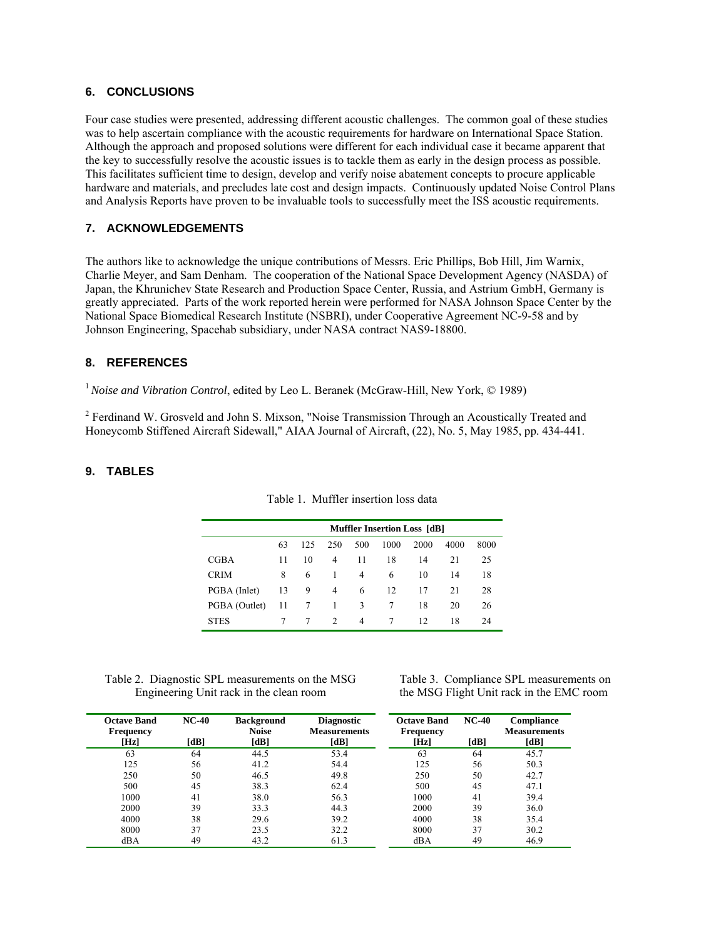#### **6. CONCLUSIONS**

Four case studies were presented, addressing different acoustic challenges. The common goal of these studies was to help ascertain compliance with the acoustic requirements for hardware on International Space Station. Although the approach and proposed solutions were different for each individual case it became apparent that the key to successfully resolve the acoustic issues is to tackle them as early in the design process as possible. This facilitates sufficient time to design, develop and verify noise abatement concepts to procure applicable hardware and materials, and precludes late cost and design impacts. Continuously updated Noise Control Plans and Analysis Reports have proven to be invaluable tools to successfully meet the ISS acoustic requirements.

#### **7. ACKNOWLEDGEMENTS**

The authors like to acknowledge the unique contributions of Messrs. Eric Phillips, Bob Hill, Jim Warnix, Charlie Meyer, and Sam Denham. The cooperation of the National Space Development Agency (NASDA) of Japan, the Khrunichev State Research and Production Space Center, Russia, and Astrium GmbH, Germany is greatly appreciated. Parts of the work reported herein were performed for NASA Johnson Space Center by the National Space Biomedical Research Institute (NSBRI), under Cooperative Agreement NC-9-58 and by Johnson Engineering, Spacehab subsidiary, under NASA contract NAS9-18800.

#### **8. REFERENCES**

<sup>1</sup> Noise and Vibration Control, edited by Leo L. Beranek (McGraw-Hill, New York, © 1989)

<sup>2</sup> Ferdinand W. Grosveld and John S. Mixson, "Noise Transmission Through an Acoustically Treated and Honeycomb Stiffened Aircraft Sidewall," AIAA Journal of Aircraft, (22), No. 5, May 1985, pp. 434-441.

#### **9. TABLES**

|               | <b>Muffler Insertion Loss [dB]</b> |     |     |     |      |      |      |      |  |
|---------------|------------------------------------|-----|-----|-----|------|------|------|------|--|
|               | 63                                 | 125 | 250 | 500 | 1000 | 2000 | 4000 | 8000 |  |
| <b>CGBA</b>   | 11                                 | 10  | 4   | 11  | 18   | 14   | 21   | 25   |  |
| <b>CRIM</b>   | 8                                  | 6   | 1   | 4   | 6    | 10   | 14   | 18   |  |
| PGBA (Inlet)  | 13                                 | 9   | 4   | 6   | 12   | 17   | 21   | 28   |  |
| PGBA (Outlet) | 11                                 | 7   |     | 3   |      | 18   | 20   | 26   |  |
| <b>STES</b>   |                                    |     | 2   | 4   |      | 12   | 18   | 24   |  |

Table 1. Muffler insertion loss data

Table 2. Diagnostic SPL measurements on the MSG Engineering Unit rack in the clean room

 Table 3. Compliance SPL measurements on the MSG Flight Unit rack in the EMC room

| <b>Octave Band</b> | $NC-40$ | <b>Background</b> | <b>Diagnostic</b>   | <b>Octave Band</b> | $NC-40$ | Compliance          |
|--------------------|---------|-------------------|---------------------|--------------------|---------|---------------------|
| <b>Frequency</b>   |         | <b>Noise</b>      | <b>Measurements</b> | <b>Frequency</b>   |         | <b>Measurements</b> |
| [Hz]               | [dB]    | [dB]              | [dB]                | [Hz]               | [dB]    | [dB]                |
| 63                 | 64      | 44.5              | 53.4                | 63                 | 64      | 45.7                |
| 125                | 56      | 41.2              | 54.4                | 125                | 56      | 50.3                |
| 250                | 50      | 46.5              | 49.8                | 250                | 50      | 42.7                |
| 500                | 45      | 38.3              | 62.4                | 500                | 45      | 47.1                |
| 1000               | 41      | 38.0              | 56.3                | 1000               | 41      | 39.4                |
| 2000               | 39      | 33.3              | 44.3                | 2000               | 39      | 36.0                |
| 4000               | 38      | 29.6              | 39.2                | 4000               | 38      | 35.4                |
| 8000               | 37      | 23.5              | 32.2                | 8000               | 37      | 30.2                |
| dBA                | 49      | 43.2              | 61.3                | dBA                | 49      | 46.9                |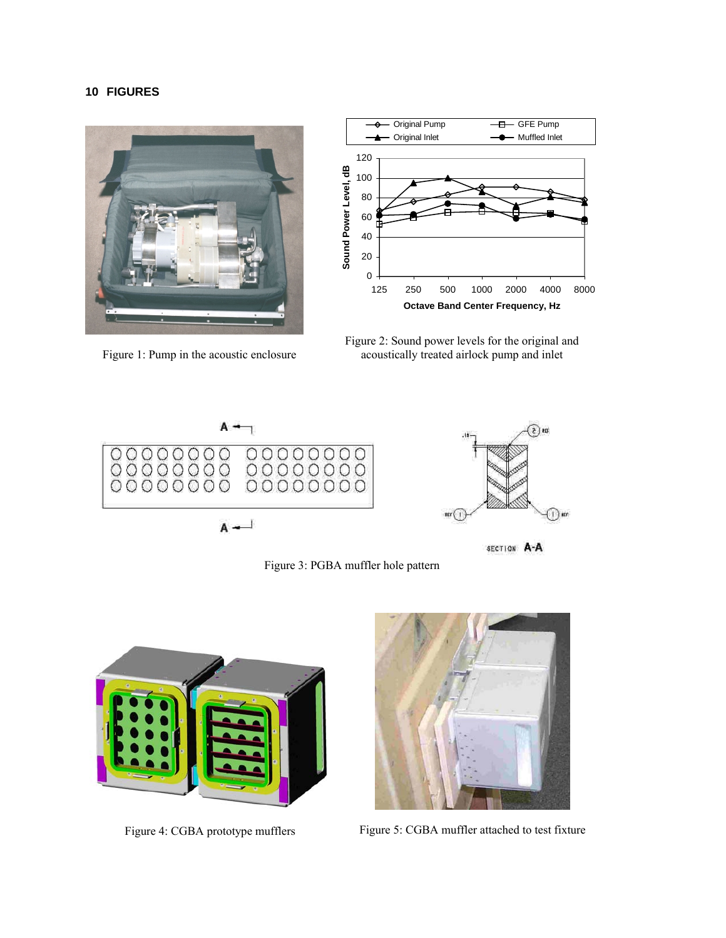### **10 FIGURES**



Figure 1: Pump in the acoustic enclosure



Figure 2: Sound power levels for the original and acoustically treated airlock pump and inlet



Figure 3: PGBA muffler hole pattern





Figure 4: CGBA prototype mufflers Figure 5: CGBA muffler attached to test fixture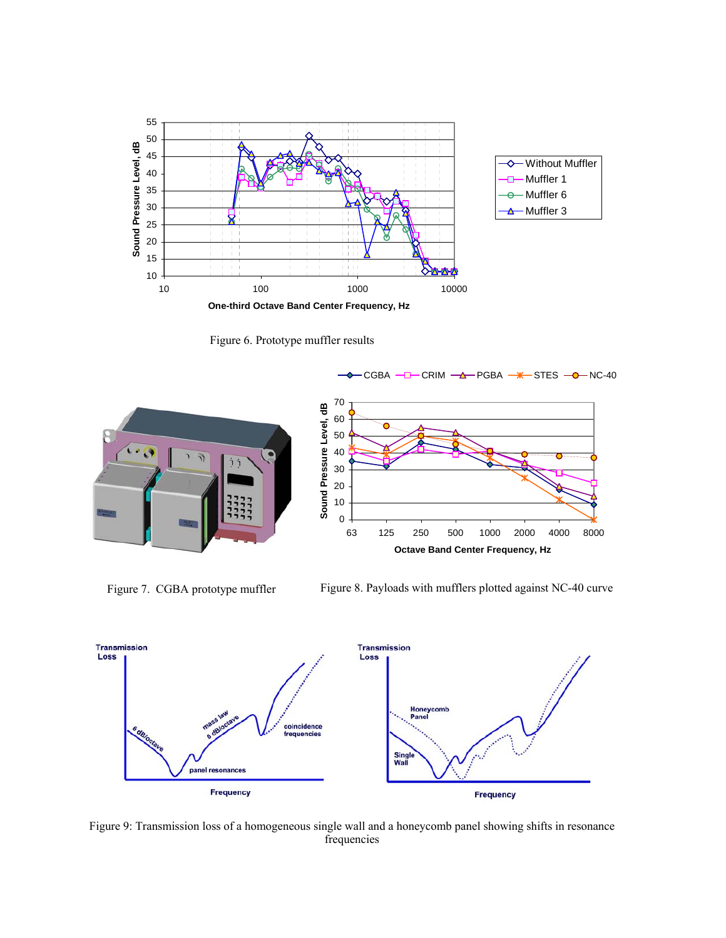

Figure 6. Prototype muffler results





Figure 7. CGBA prototype muffler

Figure 8. Payloads with mufflers plotted against NC-40 curve



Figure 9: Transmission loss of a homogeneous single wall and a honeycomb panel showing shifts in resonance frequencies